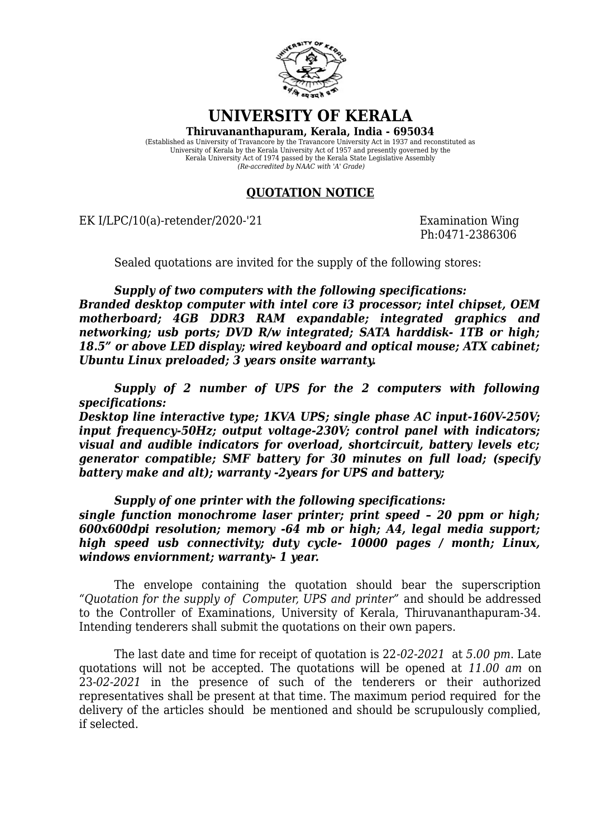

**UNIVERSITY OF KERALA**

**Thiruvananthapuram, Kerala, India - 695034**

(Established as University of Travancore by the Travancore University Act in 1937 and reconstituted as University of Kerala by the Kerala University Act of 1957 and presently governed by the Kerala University Act of 1974 passed by the Kerala State Legislative Assembly *(Re-accredited by NAAC with 'A' Grade)*

## **QUOTATION NOTICE**

EK I/LPC/10(a)-retender/2020-'21 Examination Wing

Ph:0471-2386306

Sealed quotations are invited for the supply of the following stores:

*Supply of two computers with the following specifications: Branded desktop computer with intel core i3 processor; intel chipset, OEM motherboard; 4GB DDR3 RAM expandable; integrated graphics and networking; usb ports; DVD R/w integrated; SATA harddisk- 1TB or high; 18.5" or above LED display; wired keyboard and optical mouse; ATX cabinet; Ubuntu Linux preloaded; 3 years onsite warranty.*

*Supply of 2 number of UPS for the 2 computers with following specifications:*

*Desktop line interactive type; 1KVA UPS; single phase AC input-160V-250V; input frequency-50Hz; output voltage-230V; control panel with indicators; visual and audible indicators for overload, shortcircuit, battery levels etc; generator compatible; SMF battery for 30 minutes on full load; (specify battery make and alt); warranty -2years for UPS and battery;*

*Supply of one printer with the following specifications:*

*single function monochrome laser printer; print speed – 20 ppm or high; 600x600dpi resolution; memory -64 mb or high; A4, legal media support; high speed usb connectivity; duty cycle- 10000 pages / month; Linux, windows enviornment; warranty- 1 year.*

The envelope containing the quotation should bear the superscription *"Quotation for the supply of Computer, UPS and printer"* and should be addressed to the Controller of Examinations, University of Kerala, Thiruvananthapuram-34. Intending tenderers shall submit the quotations on their own papers.

The last date and time for receipt of quotation is 22*-02-2021* at *5.00 pm*. Late quotations will not be accepted. The quotations will be opened at *11.00 am* on 23*-02-2021* in the presence of such of the tenderers or their authorized representatives shall be present at that time. The maximum period required for the delivery of the articles should be mentioned and should be scrupulously complied, if selected.